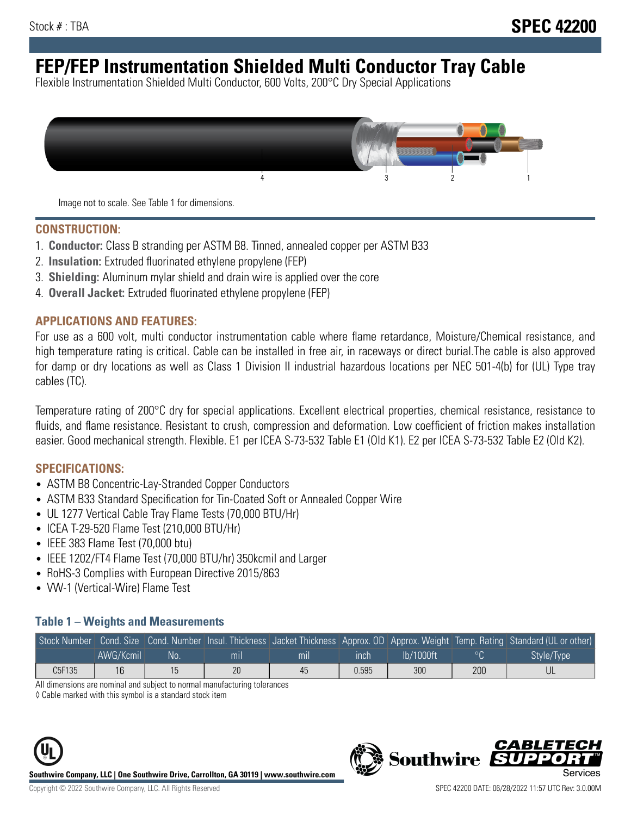# **FEP/FEP Instrumentation Shielded Multi Conductor Tray Cable**

Flexible Instrumentation Shielded Multi Conductor, 600 Volts, 200°C Dry Special Applications



Image not to scale. See Table 1 for dimensions.

#### **CONSTRUCTION:**

- 1. **Conductor:** Class B stranding per ASTM B8. Tinned, annealed copper per ASTM B33
- 2. **Insulation:** Extruded fluorinated ethylene propylene (FEP)
- 3. **Shielding:** Aluminum mylar shield and drain wire is applied over the core
- 4. **Overall Jacket:** Extruded fluorinated ethylene propylene (FEP)

#### **APPLICATIONS AND FEATURES:**

For use as a 600 volt, multi conductor instrumentation cable where flame retardance, Moisture/Chemical resistance, and high temperature rating is critical. Cable can be installed in free air, in raceways or direct burial.The cable is also approved for damp or dry locations as well as Class 1 Division II industrial hazardous locations per NEC 501-4(b) for (UL) Type tray cables (TC).

Temperature rating of 200°C dry for special applications. Excellent electrical properties, chemical resistance, resistance to fluids, and flame resistance. Resistant to crush, compression and deformation. Low coefficient of friction makes installation easier. Good mechanical strength. Flexible. E1 per ICEA S-73-532 Table E1 (Old K1). E2 per ICEA S-73-532 Table E2 (Old K2).

#### **SPECIFICATIONS:**

- ASTM B8 Concentric-Lay-Stranded Copper Conductors
- ASTM B33 Standard Specification for Tin-Coated Soft or Annealed Copper Wire
- UL 1277 Vertical Cable Tray Flame Tests (70,000 BTU/Hr)
- ICEA T-29-520 Flame Test (210,000 BTU/Hr)
- IEEE 383 Flame Test (70,000 btu)
- IEEE 1202/FT4 Flame Test (70,000 BTU/hr) 350kcmil and Larger
- RoHS-3 Complies with European Directive 2015/863
- VW-1 (Vertical-Wire) Flame Test

#### **Table 1 – Weights and Measurements**

|        |           |    |                |     |             |           |     | Stock Number Cond. Size Cond. Number Insul. Thickness Jacket Thickness Approx. OD Approx. Weight Temp. Rating Standard (UL or other) |
|--------|-----------|----|----------------|-----|-------------|-----------|-----|--------------------------------------------------------------------------------------------------------------------------------------|
|        | AWG/Kcmil | No | m <sub>l</sub> | mil | <b>inch</b> | Ib/1000ft |     | Style/Type                                                                                                                           |
| C5F135 | 16        |    | 20             | 45  | 0.595       | 300       | 200 |                                                                                                                                      |

All dimensions are nominal and subject to normal manufacturing tolerances

◊ Cable marked with this symbol is a standard stock item